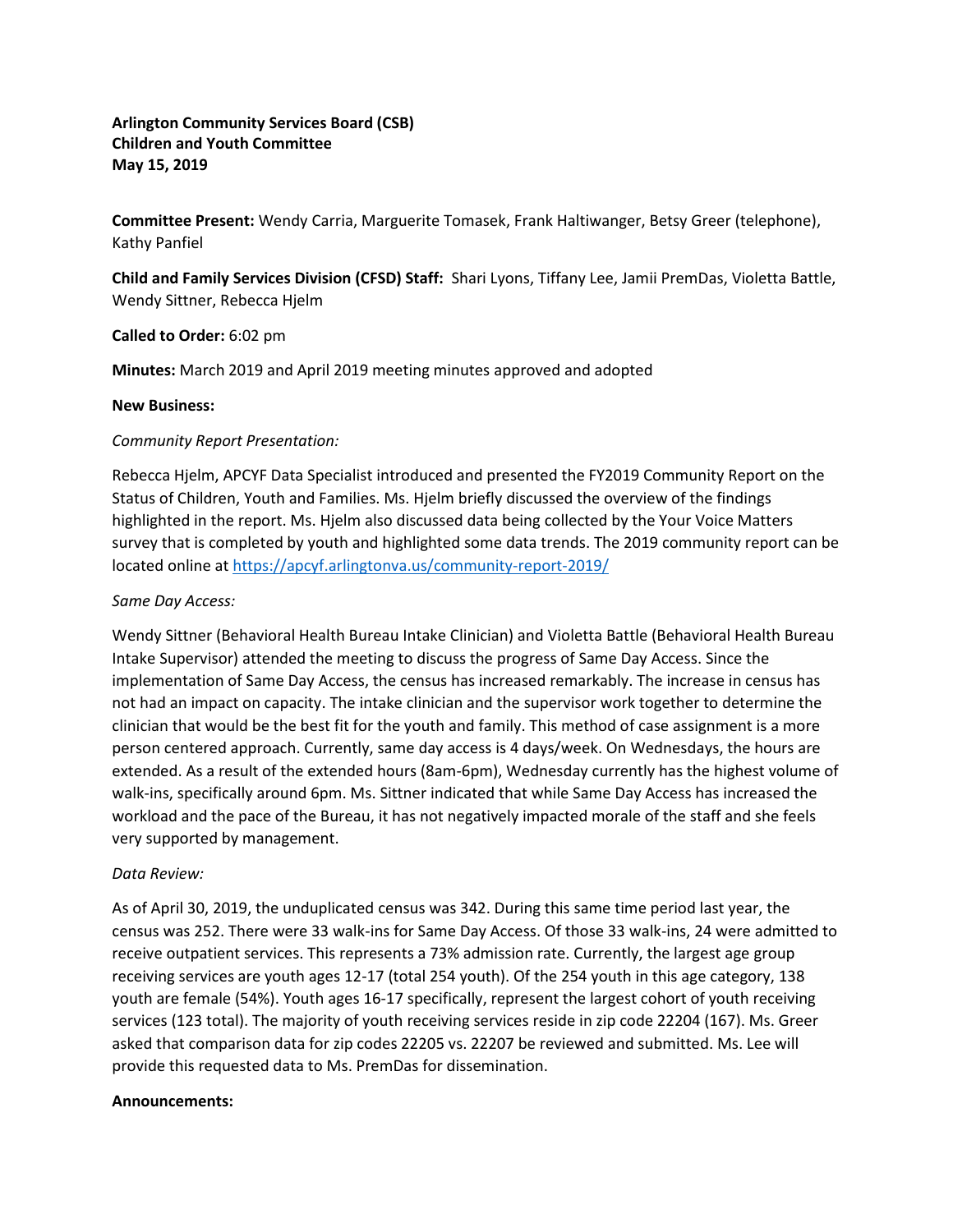**Arlington Community Services Board (CSB) Children and Youth Committee May 15, 2019**

**Committee Present:** Wendy Carria, Marguerite Tomasek, Frank Haltiwanger, Betsy Greer (telephone), Kathy Panfiel

**Child and Family Services Division (CFSD) Staff:** Shari Lyons, Tiffany Lee, Jamii PremDas, Violetta Battle, Wendy Sittner, Rebecca Hjelm

## **Called to Order:** 6:02 pm

**Minutes:** March 2019 and April 2019 meeting minutes approved and adopted

#### **New Business:**

# *Community Report Presentation:*

Rebecca Hjelm, APCYF Data Specialist introduced and presented the FY2019 Community Report on the Status of Children, Youth and Families. Ms. Hjelm briefly discussed the overview of the findings highlighted in the report. Ms. Hjelm also discussed data being collected by the Your Voice Matters survey that is completed by youth and highlighted some data trends. The 2019 community report can be located online a[t https://apcyf.arlingtonva.us/community-report-2019/](https://apcyf.arlingtonva.us/community-report-2019/)

## *Same Day Access:*

Wendy Sittner (Behavioral Health Bureau Intake Clinician) and Violetta Battle (Behavioral Health Bureau Intake Supervisor) attended the meeting to discuss the progress of Same Day Access. Since the implementation of Same Day Access, the census has increased remarkably. The increase in census has not had an impact on capacity. The intake clinician and the supervisor work together to determine the clinician that would be the best fit for the youth and family. This method of case assignment is a more person centered approach. Currently, same day access is 4 days/week. On Wednesdays, the hours are extended. As a result of the extended hours (8am-6pm), Wednesday currently has the highest volume of walk-ins, specifically around 6pm. Ms. Sittner indicated that while Same Day Access has increased the workload and the pace of the Bureau, it has not negatively impacted morale of the staff and she feels very supported by management.

# *Data Review:*

As of April 30, 2019, the unduplicated census was 342. During this same time period last year, the census was 252. There were 33 walk-ins for Same Day Access. Of those 33 walk-ins, 24 were admitted to receive outpatient services. This represents a 73% admission rate. Currently, the largest age group receiving services are youth ages 12-17 (total 254 youth). Of the 254 youth in this age category, 138 youth are female (54%). Youth ages 16-17 specifically, represent the largest cohort of youth receiving services (123 total). The majority of youth receiving services reside in zip code 22204 (167). Ms. Greer asked that comparison data for zip codes 22205 vs. 22207 be reviewed and submitted. Ms. Lee will provide this requested data to Ms. PremDas for dissemination.

#### **Announcements:**